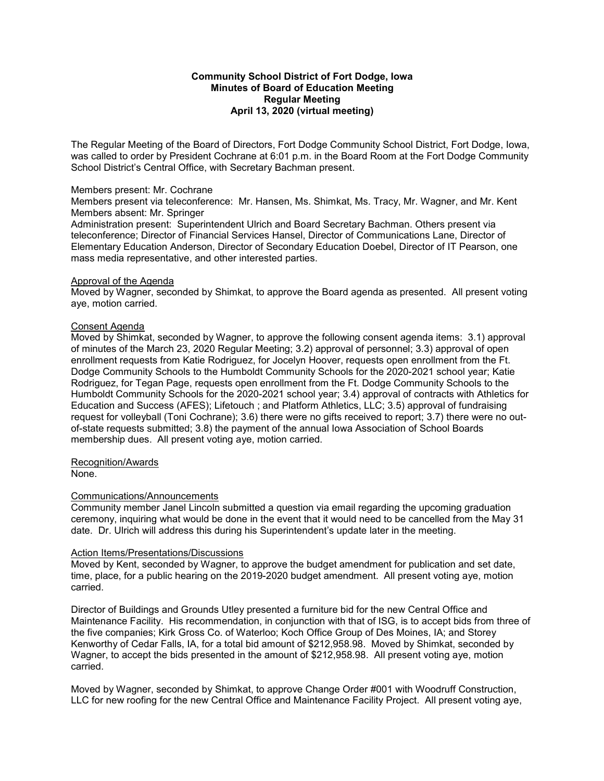## **Community School District of Fort Dodge, Iowa Minutes of Board of Education Meeting Regular Meeting April 13, 2020 (virtual meeting)**

The Regular Meeting of the Board of Directors, Fort Dodge Community School District, Fort Dodge, Iowa, was called to order by President Cochrane at 6:01 p.m. in the Board Room at the Fort Dodge Community School District's Central Office, with Secretary Bachman present.

### Members present: Mr. Cochrane

Members present via teleconference: Mr. Hansen, Ms. Shimkat, Ms. Tracy, Mr. Wagner, and Mr. Kent Members absent: Mr. Springer

Administration present: Superintendent Ulrich and Board Secretary Bachman. Others present via teleconference; Director of Financial Services Hansel, Director of Communications Lane, Director of Elementary Education Anderson, Director of Secondary Education Doebel, Director of IT Pearson, one mass media representative, and other interested parties.

### Approval of the Agenda

Moved by Wagner, seconded by Shimkat, to approve the Board agenda as presented. All present voting aye, motion carried.

## Consent Agenda

Moved by Shimkat, seconded by Wagner, to approve the following consent agenda items: 3.1) approval of minutes of the March 23, 2020 Regular Meeting; 3.2) approval of personnel; 3.3) approval of open enrollment requests from Katie Rodriguez, for Jocelyn Hoover, requests open enrollment from the Ft. Dodge Community Schools to the Humboldt Community Schools for the 2020-2021 school year; Katie Rodriguez, for Tegan Page, requests open enrollment from the Ft. Dodge Community Schools to the Humboldt Community Schools for the 2020-2021 school year; 3.4) approval of contracts with Athletics for Education and Success (AFES); Lifetouch ; and Platform Athletics, LLC; 3.5) approval of fundraising request for volleyball (Toni Cochrane); 3.6) there were no gifts received to report; 3.7) there were no outof-state requests submitted; 3.8) the payment of the annual Iowa Association of School Boards membership dues. All present voting aye, motion carried.

# Recognition/Awards

None.

## Communications/Announcements

Community member Janel Lincoln submitted a question via email regarding the upcoming graduation ceremony, inquiring what would be done in the event that it would need to be cancelled from the May 31 date. Dr. Ulrich will address this during his Superintendent's update later in the meeting.

## Action Items/Presentations/Discussions

Moved by Kent, seconded by Wagner, to approve the budget amendment for publication and set date, time, place, for a public hearing on the 2019-2020 budget amendment. All present voting aye, motion carried.

Director of Buildings and Grounds Utley presented a furniture bid for the new Central Office and Maintenance Facility. His recommendation, in conjunction with that of ISG, is to accept bids from three of the five companies; Kirk Gross Co. of Waterloo; Koch Office Group of Des Moines, IA; and Storey Kenworthy of Cedar Falls, IA, for a total bid amount of \$212,958.98. Moved by Shimkat, seconded by Wagner, to accept the bids presented in the amount of \$212,958.98. All present voting aye, motion carried.

Moved by Wagner, seconded by Shimkat, to approve Change Order #001 with Woodruff Construction, LLC for new roofing for the new Central Office and Maintenance Facility Project. All present voting aye,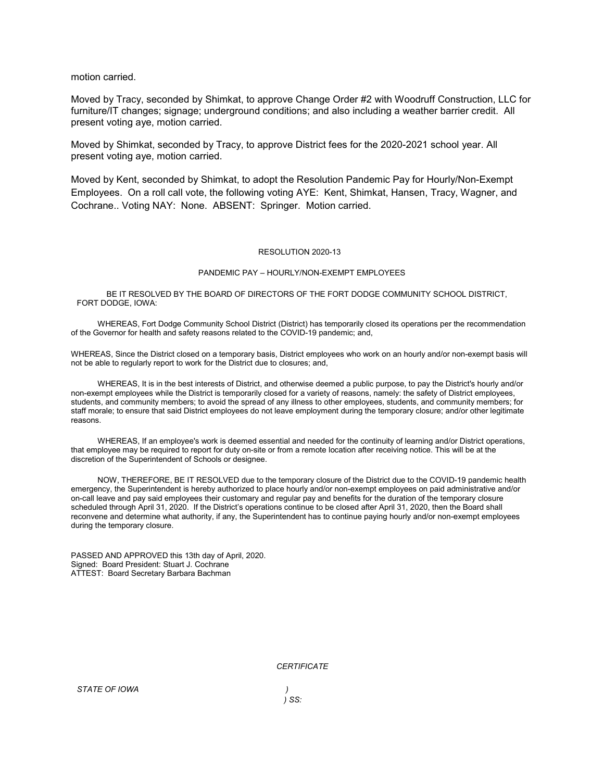motion carried.

Moved by Tracy, seconded by Shimkat, to approve Change Order #2 with Woodruff Construction, LLC for furniture/IT changes; signage; underground conditions; and also including a weather barrier credit. All present voting aye, motion carried.

Moved by Shimkat, seconded by Tracy, to approve District fees for the 2020-2021 school year. All present voting aye, motion carried.

Moved by Kent, seconded by Shimkat, to adopt the Resolution Pandemic Pay for Hourly/Non-Exempt Employees. On a roll call vote, the following voting AYE: Kent, Shimkat, Hansen, Tracy, Wagner, and Cochrane.. Voting NAY: None. ABSENT: Springer. Motion carried.

#### RESOLUTION 2020-13

#### PANDEMIC PAY – HOURLY/NON-EXEMPT EMPLOYEES

BE IT RESOLVED BY THE BOARD OF DIRECTORS OF THE FORT DODGE COMMUNITY SCHOOL DISTRICT, FORT DODGE, IOWA:

WHEREAS, Fort Dodge Community School District (District) has temporarily closed its operations per the recommendation of the Governor for health and safety reasons related to the COVID-19 pandemic; and,

WHEREAS, Since the District closed on a temporary basis, District employees who work on an hourly and/or non-exempt basis will not be able to regularly report to work for the District due to closures; and,

WHEREAS, It is in the best interests of District, and otherwise deemed a public purpose, to pay the District's hourly and/or non-exempt employees while the District is temporarily closed for a variety of reasons, namely: the safety of District employees, students, and community members; to avoid the spread of any illness to other employees, students, and community members; for staff morale; to ensure that said District employees do not leave employment during the temporary closure; and/or other legitimate reasons.

WHEREAS, If an employee's work is deemed essential and needed for the continuity of learning and/or District operations, that employee may be required to report for duty on-site or from a remote location after receiving notice. This will be at the discretion of the Superintendent of Schools or designee.

NOW, THEREFORE, BE IT RESOLVED due to the temporary closure of the District due to the COVID-19 pandemic health emergency, the Superintendent is hereby authorized to place hourly and/or non-exempt employees on paid administrative and/or on-call leave and pay said employees their customary and regular pay and benefits for the duration of the temporary closure scheduled through April 31, 2020. If the District's operations continue to be closed after April 31, 2020, then the Board shall reconvene and determine what authority, if any, the Superintendent has to continue paying hourly and/or non-exempt employees during the temporary closure.

PASSED AND APPROVED this 13th day of April, 2020. Signed: Board President: Stuart J. Cochrane ATTEST: Board Secretary Barbara Bachman

*CERTIFICATE*

*) SS:*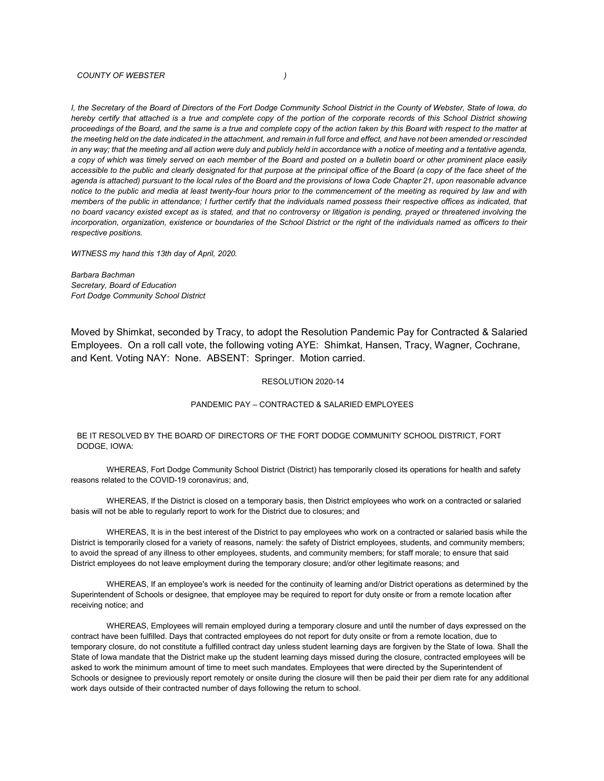#### *COUNTY OF WEBSTER )*

*I, the Secretary of the Board of Directors of the Fort Dodge Community School District in the County of Webster, State of Iowa, do hereby certify that attached is a true and complete copy of the portion of the corporate records of this School District showing proceedings of the Board, and the same is a true and complete copy of the action taken by this Board with respect to the matter at the meeting held on the date indicated in the attachment, and remain in full force and effect, and have not been amended or rescinded*  in any way; that the meeting and all action were duly and publicly held in accordance with a notice of meeting and a tentative agenda, *a copy of which was timely served on each member of the Board and posted on a bulletin board or other prominent place easily accessible to the public and clearly designated for that purpose at the principal office of the Board (a copy of the face sheet of the agenda is attached) pursuant to the local rules of the Board and the provisions of Iowa Code Chapter 21, upon reasonable advance notice to the public and media at least twenty-four hours prior to the commencement of the meeting as required by law and with members of the public in attendance; I further certify that the individuals named possess their respective offices as indicated, that no board vacancy existed except as is stated, and that no controversy or litigation is pending, prayed or threatened involving the incorporation, organization, existence or boundaries of the School District or the right of the individuals named as officers to their respective positions.*

*WITNESS my hand this 13th day of April, 2020.*

*Barbara Bachman Secretary, Board of Education Fort Dodge Community School District*

Moved by Shimkat, seconded by Tracy, to adopt the Resolution Pandemic Pay for Contracted & Salaried Employees. On a roll call vote, the following voting AYE: Shimkat, Hansen, Tracy, Wagner, Cochrane, and Kent. Voting NAY: None. ABSENT: Springer. Motion carried.

#### RESOLUTION 2020-14

### PANDEMIC PAY – CONTRACTED & SALARIED EMPLOYEES

### BE IT RESOLVED BY THE BOARD OF DIRECTORS OF THE FORT DODGE COMMUNITY SCHOOL DISTRICT, FORT DODGE, IOWA:

 WHEREAS, Fort Dodge Community School District (District) has temporarily closed its operations for health and safety reasons related to the COVID-19 coronavirus; and,

WHEREAS, If the District is closed on a temporary basis, then District employees who work on a contracted or salaried basis will not be able to regularly report to work for the District due to closures; and

WHEREAS, It is in the best interest of the District to pay employees who work on a contracted or salaried basis while the District is temporarily closed for a variety of reasons, namely: the safety of District employees, students, and community members; to avoid the spread of any illness to other employees, students, and community members; for staff morale; to ensure that said District employees do not leave employment during the temporary closure; and/or other legitimate reasons; and

WHEREAS, If an employee's work is needed for the continuity of learning and/or District operations as determined by the Superintendent of Schools or designee, that employee may be required to report for duty onsite or from a remote location after receiving notice; and

WHEREAS, Employees will remain employed during a temporary closure and until the number of days expressed on the contract have been fulfilled. Days that contracted employees do not report for duty onsite or from a remote location, due to temporary closure, do not constitute a fulfilled contract day unless student learning days are forgiven by the State of Iowa. Shall the State of Iowa mandate that the District make up the student learning days missed during the closure, contracted employees will be asked to work the minimum amount of time to meet such mandates. Employees that were directed by the Superintendent of Schools or designee to previously report remotely or onsite during the closure will then be paid their per diem rate for any additional work days outside of their contracted number of days following the return to school.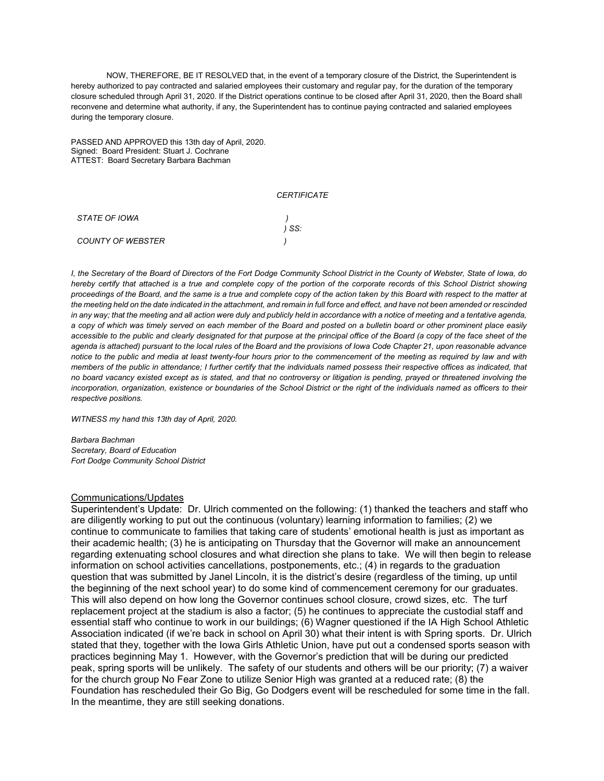NOW, THEREFORE, BE IT RESOLVED that, in the event of a temporary closure of the District, the Superintendent is hereby authorized to pay contracted and salaried employees their customary and regular pay, for the duration of the temporary closure scheduled through April 31, 2020. If the District operations continue to be closed after April 31, 2020, then the Board shall reconvene and determine what authority, if any, the Superintendent has to continue paying contracted and salaried employees during the temporary closure.

PASSED AND APPROVED this 13th day of April, 2020. Signed: Board President: Stuart J. Cochrane ATTEST: Board Secretary Barbara Bachman

#### *CERTIFICATE*

| STATE OF IOWA     |       |
|-------------------|-------|
|                   | ) SS: |
| COUNTY OF WEBSTER |       |

*I, the Secretary of the Board of Directors of the Fort Dodge Community School District in the County of Webster, State of Iowa, do hereby certify that attached is a true and complete copy of the portion of the corporate records of this School District showing proceedings of the Board, and the same is a true and complete copy of the action taken by this Board with respect to the matter at the meeting held on the date indicated in the attachment, and remain in full force and effect, and have not been amended or rescinded*  in any way; that the meeting and all action were duly and publicly held in accordance with a notice of meeting and a tentative agenda, *a copy of which was timely served on each member of the Board and posted on a bulletin board or other prominent place easily accessible to the public and clearly designated for that purpose at the principal office of the Board (a copy of the face sheet of the agenda is attached) pursuant to the local rules of the Board and the provisions of Iowa Code Chapter 21, upon reasonable advance notice to the public and media at least twenty-four hours prior to the commencement of the meeting as required by law and with members of the public in attendance; I further certify that the individuals named possess their respective offices as indicated, that no board vacancy existed except as is stated, and that no controversy or litigation is pending, prayed or threatened involving the incorporation, organization, existence or boundaries of the School District or the right of the individuals named as officers to their respective positions.*

*WITNESS my hand this 13th day of April, 2020.*

*Barbara Bachman Secretary, Board of Education Fort Dodge Community School District*

### Communications/Updates

Superintendent's Update: Dr. Ulrich commented on the following: (1) thanked the teachers and staff who are diligently working to put out the continuous (voluntary) learning information to families; (2) we continue to communicate to families that taking care of students' emotional health is just as important as their academic health; (3) he is anticipating on Thursday that the Governor will make an announcement regarding extenuating school closures and what direction she plans to take. We will then begin to release information on school activities cancellations, postponements, etc.; (4) in regards to the graduation question that was submitted by Janel Lincoln, it is the district's desire (regardless of the timing, up until the beginning of the next school year) to do some kind of commencement ceremony for our graduates. This will also depend on how long the Governor continues school closure, crowd sizes, etc. The turf replacement project at the stadium is also a factor; (5) he continues to appreciate the custodial staff and essential staff who continue to work in our buildings; (6) Wagner questioned if the IA High School Athletic Association indicated (if we're back in school on April 30) what their intent is with Spring sports. Dr. Ulrich stated that they, together with the Iowa Girls Athletic Union, have put out a condensed sports season with practices beginning May 1. However, with the Governor's prediction that will be during our predicted peak, spring sports will be unlikely. The safety of our students and others will be our priority; (7) a waiver for the church group No Fear Zone to utilize Senior High was granted at a reduced rate; (8) the Foundation has rescheduled their Go Big, Go Dodgers event will be rescheduled for some time in the fall. In the meantime, they are still seeking donations.